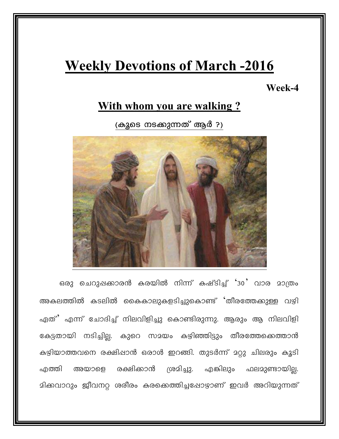# **Weekly Devotions of March -2016**

### Week-4

## With whom you are walking?

(കുടെ നടക്കുന്നത് ആർ ?)



ഒരു ചെറുപ്പക്കാരൻ കരയിൽ നിന്ന് കഷ്ടിച്ച് '30' വാര മാത്രം അകലത്തിൽ കടലിൽ കൈകാലുകളടിച്ചുകൊണ്ട് 'തീരത്തേക്കുള്ള വഴി ഏത്' എന്ന് ചോദിച്ച് നിലവിളിച്ചു കൊണ്ടിരുന്നു. ആരും ആ നിലവിളി കേട്ടതായി നടിച്ചില്ല. കുറെ സമയം കഴിഞ്ഞിട്ടും തീരത്തേക്കെത്താൻ കഴിയാത്തവനെ രക്ഷിപ്പാൻ ഒരാൾ ഇറങ്ങി. തുടർന്ന് മറ്റു ചിലരും കൂടി അയാളെ രക്ഷിക്കാൻ ശ്രമിച്ചു. എങ്കിലും ഫലമുണ്ടായില്ല. .എത്തി മിക്കവാറും ജീവനറ്റ ശരീരം കരക്കെത്തിച്ചപ്പോഴാണ് ഇവർ അറിയുന്നത്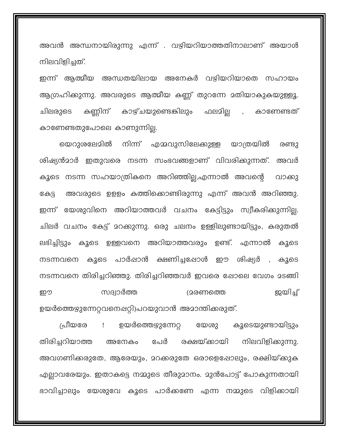അവൻ അന്ധനായിരുന്നു എന്ന് . വഴിയറിയാത്തതിനാലാണ് അയാൾ നിലവിളിച്ചത്.

ഇന്ന് ആത്മീയ അന്ധതയിലായ അനേകർ വഴിയറിയാതെ സഹായം ആഗ്രഹിക്കുന്നു. അവരുടെ ആത്മീയ കണ്ണ് തുറന്നേ മതിയാകുകയുള്ളൂ. കണ്ണിന് കാഴ്ചയുണ്ടെങ്കിലും ഫലമില്ല , കാണേണ്ടത് ചിലരുടെ കാണേണ്ടതുപോലെ കാണുന്നില്ല.

നിന്ന് എമ്മവുസിലേക്കുള്ള യാത്രയിൽ യെറാശലേമിൽ രണ്ടു ശിഷ്യൻമാർ ഇതുവരെ നടന്ന സംഭവങ്ങളാണ് വിവരിക്കുന്നത്. അവർ കൂടെ നടന്ന സഹയാത്രികനെ അറിഞ്ഞില്ല,എന്നാൽ അവന്റെ വാക്കു അവരുടെ ഉളളം കത്തിക്കൊണ്ടിരുന്നു എന്ന് അവൻ അറിഞ്ഞു. കേട്ട ഇന്ന് യേശുവിനെ അറിയാത്തവർ വചനം കേട്ടിട്ടും സ്വീകരിക്കുന്നില്ല. ചിലർ വചനം കേട്ട് മറക്കുന്നു. ഒരു ചലനം ഉള്ളിലുണ്ടായിട്ടും, കരുതൽ ലഭിച്ചിട്ടും കൂടെ ഉള്ളവനെ അറിയാത്തവരും ഉണ്ട്. എന്നാൽ കൂടെ നടന്നവനെ കൂടെ പാർഷാൻ ക്ഷണിച്ചപ്പോൾ ഈ ശിഷ്യർ , കൂടെ നടന്നവനെ തിരിച്ചറിഞ്ഞു. തിരിച്ചറിഞ്ഞവർ ഇവരെ ഷോലെ വേഗം മടങ്ങി ഇയിച്ച് സദ്വാർത്ത (മരണത്തെ ഈ ഉയർത്തെഴുന്നേറ്റവനെഷറ്റി)പറയുവാൻ അമാന്തിക്കരുത്.

ഉയർത്തെഴുന്നേറ്റ പ്രീയരേ യേശു കുടെയുണ്ടായിട്ടും  $\mathbf{I}$ തിരിച്ചറിയാത്ത അനേകം പേർ രക്ഷയ്ക്കായി നിലവിളിക്കുന്നു. അവഗണിക്കരുതേ, ആരേയും, മറക്കരുതേ ഒരാളെഷോലും, രക്ഷിയ്ക്കുക എല്ലാവരേയും. ഇതാകട്ടെ നമ്മുടെ തീരുമാനം. മുൻപോട്ട് പോകുന്നതായി ഭാവിച്ചാലും യേശുവേ കൂടെ പാർക്കണേ എന്ന നമ്മുടെ വിളിക്കായി